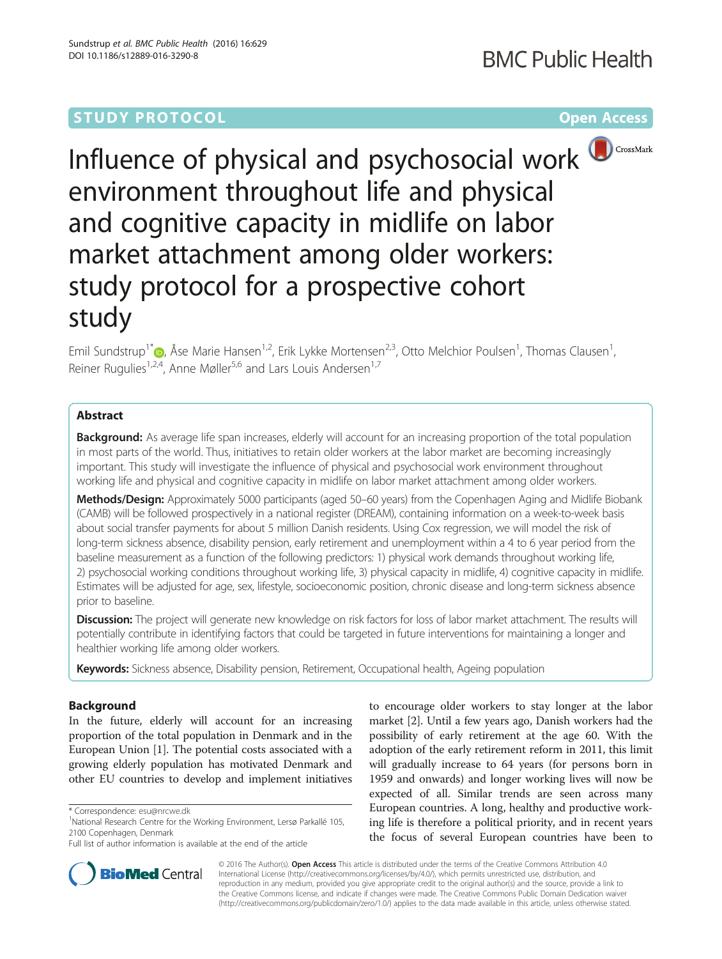

Influence of physical and psychosocial work environment throughout life and physical and cognitive capacity in midlife on labor market attachment among older workers: study protocol for a prospective cohort study

Emil Sundstrup<sup>1\*</sup>®[,](http://orcid.org/0000-0001-7408-222X) Åse Marie Hansen<sup>1,2</sup>, Erik Lykke Mortensen<sup>2,3</sup>, Otto Melchior Poulsen<sup>1</sup>, Thomas Clausen<sup>1</sup> , Reiner Rugulies<sup>1,2,4</sup>, Anne Møller<sup>5,6</sup> and Lars Louis Andersen<sup>1,7</sup>

# Abstract

**Background:** As average life span increases, elderly will account for an increasing proportion of the total population in most parts of the world. Thus, initiatives to retain older workers at the labor market are becoming increasingly important. This study will investigate the influence of physical and psychosocial work environment throughout working life and physical and cognitive capacity in midlife on labor market attachment among older workers.

Methods/Design: Approximately 5000 participants (aged 50–60 years) from the Copenhagen Aging and Midlife Biobank (CAMB) will be followed prospectively in a national register (DREAM), containing information on a week-to-week basis about social transfer payments for about 5 million Danish residents. Using Cox regression, we will model the risk of long-term sickness absence, disability pension, early retirement and unemployment within a 4 to 6 year period from the baseline measurement as a function of the following predictors: 1) physical work demands throughout working life, 2) psychosocial working conditions throughout working life, 3) physical capacity in midlife, 4) cognitive capacity in midlife. Estimates will be adjusted for age, sex, lifestyle, socioeconomic position, chronic disease and long-term sickness absence prior to baseline.

Discussion: The project will generate new knowledge on risk factors for loss of labor market attachment. The results will potentially contribute in identifying factors that could be targeted in future interventions for maintaining a longer and healthier working life among older workers.

Keywords: Sickness absence, Disability pension, Retirement, Occupational health, Ageing population

# Background

In the future, elderly will account for an increasing proportion of the total population in Denmark and in the European Union [\[1](#page-6-0)]. The potential costs associated with a growing elderly population has motivated Denmark and other EU countries to develop and implement initiatives

Full list of author information is available at the end of the article



© 2016 The Author(s). Open Access This article is distributed under the terms of the Creative Commons Attribution 4.0 **BioMed Central** International License [\(http://creativecommons.org/licenses/by/4.0/](http://creativecommons.org/licenses/by/4.0/)), which permits unrestricted use, distribution, and reproduction in any medium, provided you give appropriate credit to the original author(s) and the source, provide a link to the Creative Commons license, and indicate if changes were made. The Creative Commons Public Domain Dedication waiver [\(http://creativecommons.org/publicdomain/zero/1.0/](http://creativecommons.org/publicdomain/zero/1.0/)) applies to the data made available in this article, unless otherwise stated.

<sup>\*</sup> Correspondence: [esu@nrcwe.dk](mailto:esu@nrcwe.dk) <sup>1</sup>

National Research Centre for the Working Environment, Lersø Parkallé 105, 2100 Copenhagen, Denmark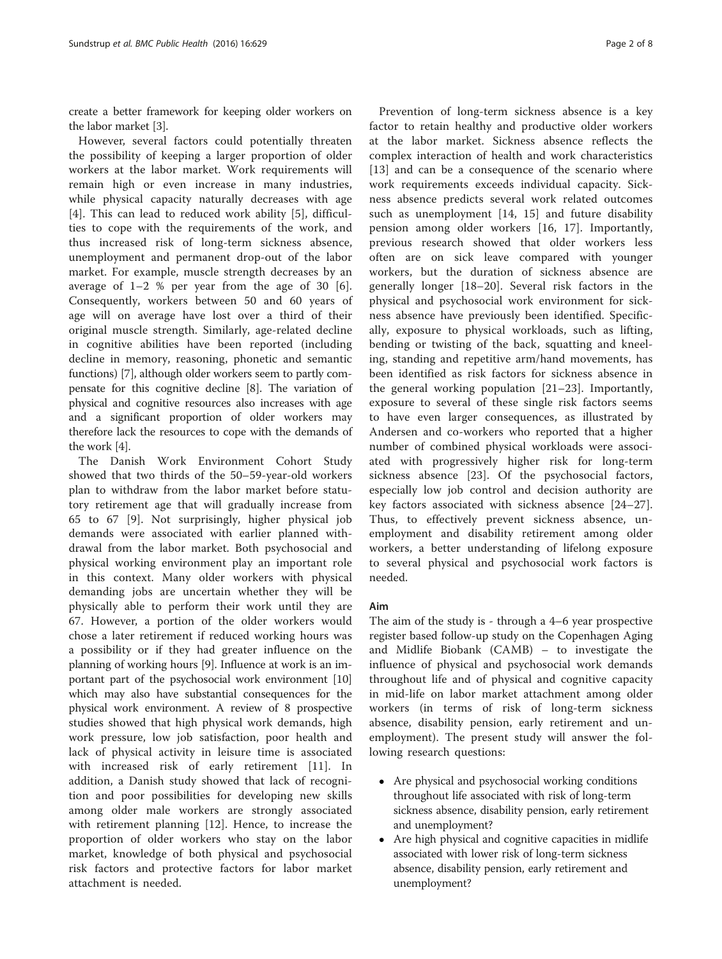create a better framework for keeping older workers on the labor market [\[3\]](#page-6-0).

However, several factors could potentially threaten the possibility of keeping a larger proportion of older workers at the labor market. Work requirements will remain high or even increase in many industries, while physical capacity naturally decreases with age [[4\]](#page-6-0). This can lead to reduced work ability [\[5](#page-6-0)], difficulties to cope with the requirements of the work, and thus increased risk of long-term sickness absence, unemployment and permanent drop-out of the labor market. For example, muscle strength decreases by an average of  $1-2$  % per year from the age of 30 [\[6](#page-6-0)]. Consequently, workers between 50 and 60 years of age will on average have lost over a third of their original muscle strength. Similarly, age-related decline in cognitive abilities have been reported (including decline in memory, reasoning, phonetic and semantic functions) [[7](#page-6-0)], although older workers seem to partly compensate for this cognitive decline [\[8](#page-6-0)]. The variation of physical and cognitive resources also increases with age and a significant proportion of older workers may therefore lack the resources to cope with the demands of the work [[4\]](#page-6-0).

The Danish Work Environment Cohort Study showed that two thirds of the 50–59-year-old workers plan to withdraw from the labor market before statutory retirement age that will gradually increase from 65 to 67 [[9\]](#page-6-0). Not surprisingly, higher physical job demands were associated with earlier planned withdrawal from the labor market. Both psychosocial and physical working environment play an important role in this context. Many older workers with physical demanding jobs are uncertain whether they will be physically able to perform their work until they are 67. However, a portion of the older workers would chose a later retirement if reduced working hours was a possibility or if they had greater influence on the planning of working hours [\[9\]](#page-6-0). Influence at work is an important part of the psychosocial work environment [[10](#page-6-0)] which may also have substantial consequences for the physical work environment. A review of 8 prospective studies showed that high physical work demands, high work pressure, low job satisfaction, poor health and lack of physical activity in leisure time is associated with increased risk of early retirement [\[11](#page-6-0)]. In addition, a Danish study showed that lack of recognition and poor possibilities for developing new skills among older male workers are strongly associated with retirement planning [\[12](#page-6-0)]. Hence, to increase the proportion of older workers who stay on the labor market, knowledge of both physical and psychosocial risk factors and protective factors for labor market attachment is needed.

Prevention of long-term sickness absence is a key factor to retain healthy and productive older workers at the labor market. Sickness absence reflects the complex interaction of health and work characteristics [[13\]](#page-6-0) and can be a consequence of the scenario where work requirements exceeds individual capacity. Sickness absence predicts several work related outcomes such as unemployment [\[14](#page-6-0), [15\]](#page-6-0) and future disability pension among older workers [\[16](#page-6-0), [17](#page-6-0)]. Importantly, previous research showed that older workers less often are on sick leave compared with younger workers, but the duration of sickness absence are generally longer [\[18](#page-6-0)–[20](#page-6-0)]. Several risk factors in the physical and psychosocial work environment for sickness absence have previously been identified. Specifically, exposure to physical workloads, such as lifting, bending or twisting of the back, squatting and kneeling, standing and repetitive arm/hand movements, has been identified as risk factors for sickness absence in the general working population [\[21](#page-6-0)–[23](#page-6-0)]. Importantly, exposure to several of these single risk factors seems to have even larger consequences, as illustrated by Andersen and co-workers who reported that a higher number of combined physical workloads were associated with progressively higher risk for long-term sickness absence [\[23](#page-6-0)]. Of the psychosocial factors, especially low job control and decision authority are key factors associated with sickness absence [[24](#page-6-0)–[27](#page-6-0)]. Thus, to effectively prevent sickness absence, unemployment and disability retirement among older workers, a better understanding of lifelong exposure to several physical and psychosocial work factors is needed.

## Aim

The aim of the study is - through a 4–6 year prospective register based follow-up study on the Copenhagen Aging and Midlife Biobank (CAMB) – to investigate the influence of physical and psychosocial work demands throughout life and of physical and cognitive capacity in mid-life on labor market attachment among older workers (in terms of risk of long-term sickness absence, disability pension, early retirement and unemployment). The present study will answer the following research questions:

- Are physical and psychosocial working conditions throughout life associated with risk of long-term sickness absence, disability pension, early retirement and unemployment?
- Are high physical and cognitive capacities in midlife associated with lower risk of long-term sickness absence, disability pension, early retirement and unemployment?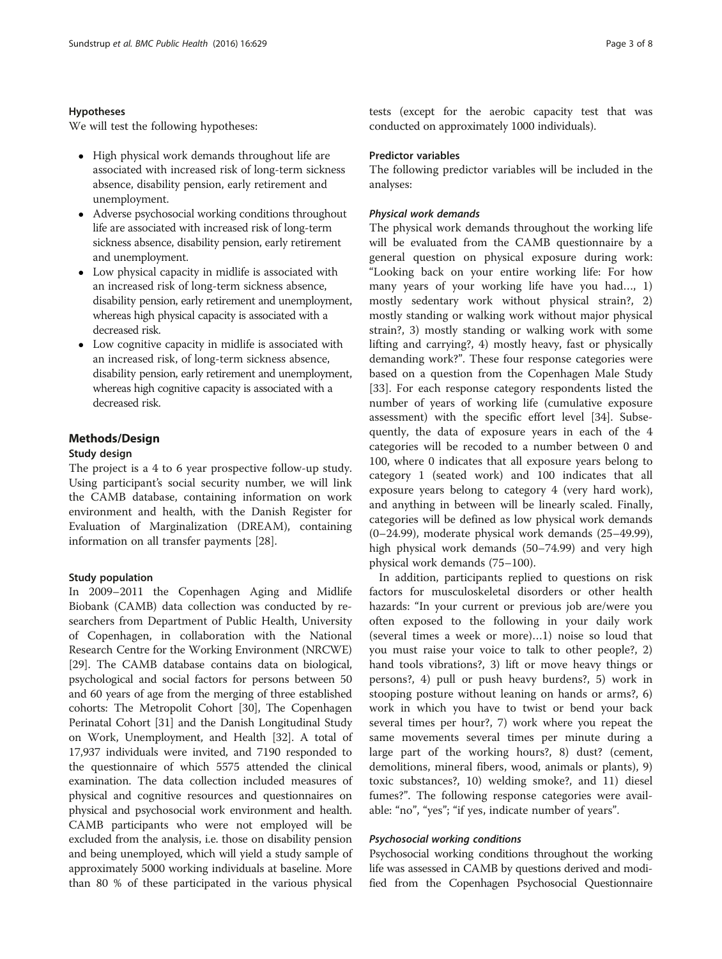## Hypotheses

We will test the following hypotheses:

- High physical work demands throughout life are associated with increased risk of long-term sickness absence, disability pension, early retirement and unemployment.
- Adverse psychosocial working conditions throughout life are associated with increased risk of long-term sickness absence, disability pension, early retirement and unemployment.
- Low physical capacity in midlife is associated with an increased risk of long-term sickness absence, disability pension, early retirement and unemployment, whereas high physical capacity is associated with a decreased risk.
- Low cognitive capacity in midlife is associated with an increased risk, of long-term sickness absence, disability pension, early retirement and unemployment, whereas high cognitive capacity is associated with a decreased risk.

# Methods/Design

### Study design

The project is a 4 to 6 year prospective follow-up study. Using participant's social security number, we will link the CAMB database, containing information on work environment and health, with the Danish Register for Evaluation of Marginalization (DREAM), containing information on all transfer payments [[28](#page-6-0)].

## Study population

In 2009–2011 the Copenhagen Aging and Midlife Biobank (CAMB) data collection was conducted by researchers from Department of Public Health, University of Copenhagen, in collaboration with the National Research Centre for the Working Environment (NRCWE) [[29](#page-6-0)]. The CAMB database contains data on biological, psychological and social factors for persons between 50 and 60 years of age from the merging of three established cohorts: The Metropolit Cohort [\[30\]](#page-6-0), The Copenhagen Perinatal Cohort [[31](#page-6-0)] and the Danish Longitudinal Study on Work, Unemployment, and Health [[32](#page-6-0)]. A total of 17,937 individuals were invited, and 7190 responded to the questionnaire of which 5575 attended the clinical examination. The data collection included measures of physical and cognitive resources and questionnaires on physical and psychosocial work environment and health. CAMB participants who were not employed will be excluded from the analysis, i.e. those on disability pension and being unemployed, which will yield a study sample of approximately 5000 working individuals at baseline. More than 80 % of these participated in the various physical

tests (except for the aerobic capacity test that was conducted on approximately 1000 individuals).

### Predictor variables

The following predictor variables will be included in the analyses:

### Physical work demands

The physical work demands throughout the working life will be evaluated from the CAMB questionnaire by a general question on physical exposure during work: "Looking back on your entire working life: For how many years of your working life have you had…, 1) mostly sedentary work without physical strain?, 2) mostly standing or walking work without major physical strain?, 3) mostly standing or walking work with some lifting and carrying?, 4) mostly heavy, fast or physically demanding work?". These four response categories were based on a question from the Copenhagen Male Study [[33\]](#page-6-0). For each response category respondents listed the number of years of working life (cumulative exposure assessment) with the specific effort level [[34\]](#page-6-0). Subsequently, the data of exposure years in each of the 4 categories will be recoded to a number between 0 and 100, where 0 indicates that all exposure years belong to category 1 (seated work) and 100 indicates that all exposure years belong to category 4 (very hard work), and anything in between will be linearly scaled. Finally, categories will be defined as low physical work demands (0–24.99), moderate physical work demands (25–49.99), high physical work demands (50–74.99) and very high physical work demands (75–100).

In addition, participants replied to questions on risk factors for musculoskeletal disorders or other health hazards: "In your current or previous job are/were you often exposed to the following in your daily work (several times a week or more)…1) noise so loud that you must raise your voice to talk to other people?, 2) hand tools vibrations?, 3) lift or move heavy things or persons?, 4) pull or push heavy burdens?, 5) work in stooping posture without leaning on hands or arms?, 6) work in which you have to twist or bend your back several times per hour?, 7) work where you repeat the same movements several times per minute during a large part of the working hours?, 8) dust? (cement, demolitions, mineral fibers, wood, animals or plants), 9) toxic substances?, 10) welding smoke?, and 11) diesel fumes?". The following response categories were available: "no", "yes"; "if yes, indicate number of years".

## Psychosocial working conditions

Psychosocial working conditions throughout the working life was assessed in CAMB by questions derived and modified from the Copenhagen Psychosocial Questionnaire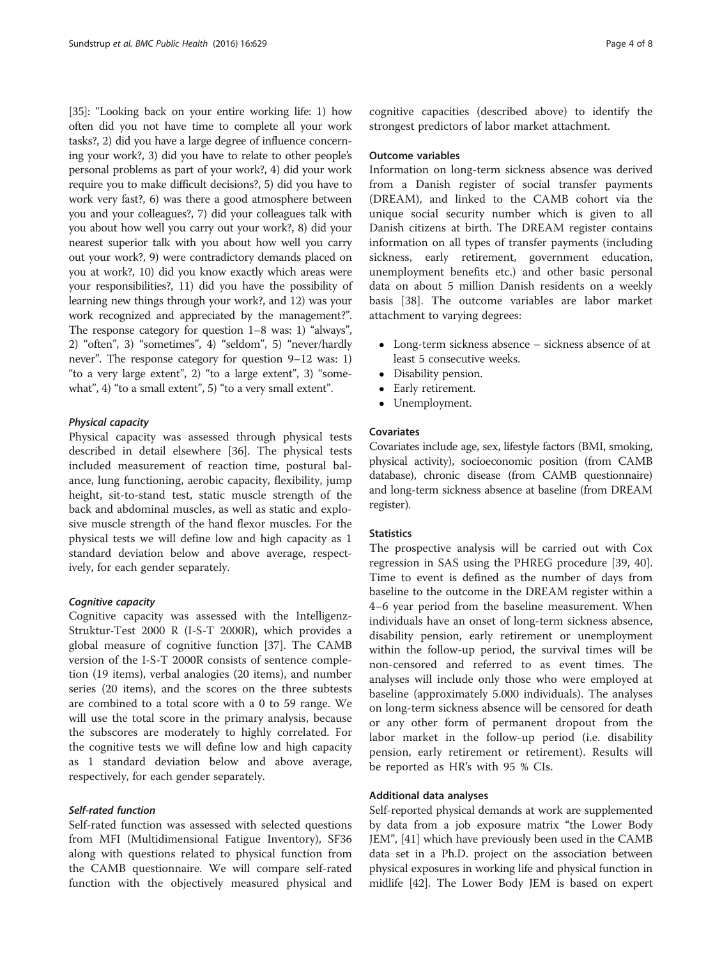[[35](#page-6-0)]: "Looking back on your entire working life: 1) how often did you not have time to complete all your work tasks?, 2) did you have a large degree of influence concerning your work?, 3) did you have to relate to other people's personal problems as part of your work?, 4) did your work require you to make difficult decisions?, 5) did you have to work very fast?, 6) was there a good atmosphere between you and your colleagues?, 7) did your colleagues talk with you about how well you carry out your work?, 8) did your nearest superior talk with you about how well you carry out your work?, 9) were contradictory demands placed on you at work?, 10) did you know exactly which areas were your responsibilities?, 11) did you have the possibility of learning new things through your work?, and 12) was your work recognized and appreciated by the management?". The response category for question 1–8 was: 1) "always", 2) "often", 3) "sometimes", 4) "seldom", 5) "never/hardly never". The response category for question 9–12 was: 1) "to a very large extent", 2) "to a large extent", 3) "somewhat", 4) "to a small extent", 5) "to a very small extent".

## Physical capacity

Physical capacity was assessed through physical tests described in detail elsewhere [\[36](#page-6-0)]. The physical tests included measurement of reaction time, postural balance, lung functioning, aerobic capacity, flexibility, jump height, sit-to-stand test, static muscle strength of the back and abdominal muscles, as well as static and explosive muscle strength of the hand flexor muscles. For the physical tests we will define low and high capacity as 1 standard deviation below and above average, respectively, for each gender separately.

## Cognitive capacity

Cognitive capacity was assessed with the Intelligenz-Struktur-Test 2000 R (I-S-T 2000R), which provides a global measure of cognitive function [[37\]](#page-6-0). The CAMB version of the I-S-T 2000R consists of sentence completion (19 items), verbal analogies (20 items), and number series (20 items), and the scores on the three subtests are combined to a total score with a 0 to 59 range. We will use the total score in the primary analysis, because the subscores are moderately to highly correlated. For the cognitive tests we will define low and high capacity as 1 standard deviation below and above average, respectively, for each gender separately.

### Self-rated function

Self-rated function was assessed with selected questions from MFI (Multidimensional Fatigue Inventory), SF36 along with questions related to physical function from the CAMB questionnaire. We will compare self-rated function with the objectively measured physical and cognitive capacities (described above) to identify the strongest predictors of labor market attachment.

### Outcome variables

Information on long-term sickness absence was derived from a Danish register of social transfer payments (DREAM), and linked to the CAMB cohort via the unique social security number which is given to all Danish citizens at birth. The DREAM register contains information on all types of transfer payments (including sickness, early retirement, government education, unemployment benefits etc.) and other basic personal data on about 5 million Danish residents on a weekly basis [\[38](#page-6-0)]. The outcome variables are labor market attachment to varying degrees:

- Long-term sickness absence sickness absence of at least 5 consecutive weeks.
- Disability pension.
- Early retirement.
- Unemployment.

## Covariates

Covariates include age, sex, lifestyle factors (BMI, smoking, physical activity), socioeconomic position (from CAMB database), chronic disease (from CAMB questionnaire) and long-term sickness absence at baseline (from DREAM register).

#### **Statistics**

The prospective analysis will be carried out with Cox regression in SAS using the PHREG procedure [[39, 40](#page-6-0)]. Time to event is defined as the number of days from baseline to the outcome in the DREAM register within a 4–6 year period from the baseline measurement. When individuals have an onset of long-term sickness absence, disability pension, early retirement or unemployment within the follow-up period, the survival times will be non-censored and referred to as event times. The analyses will include only those who were employed at baseline (approximately 5.000 individuals). The analyses on long-term sickness absence will be censored for death or any other form of permanent dropout from the labor market in the follow-up period (i.e. disability pension, early retirement or retirement). Results will be reported as HR's with 95 % CIs.

### Additional data analyses

Self-reported physical demands at work are supplemented by data from a job exposure matrix "the Lower Body JEM", [[41](#page-6-0)] which have previously been used in the CAMB data set in a Ph.D. project on the association between physical exposures in working life and physical function in midlife [\[42](#page-6-0)]. The Lower Body JEM is based on expert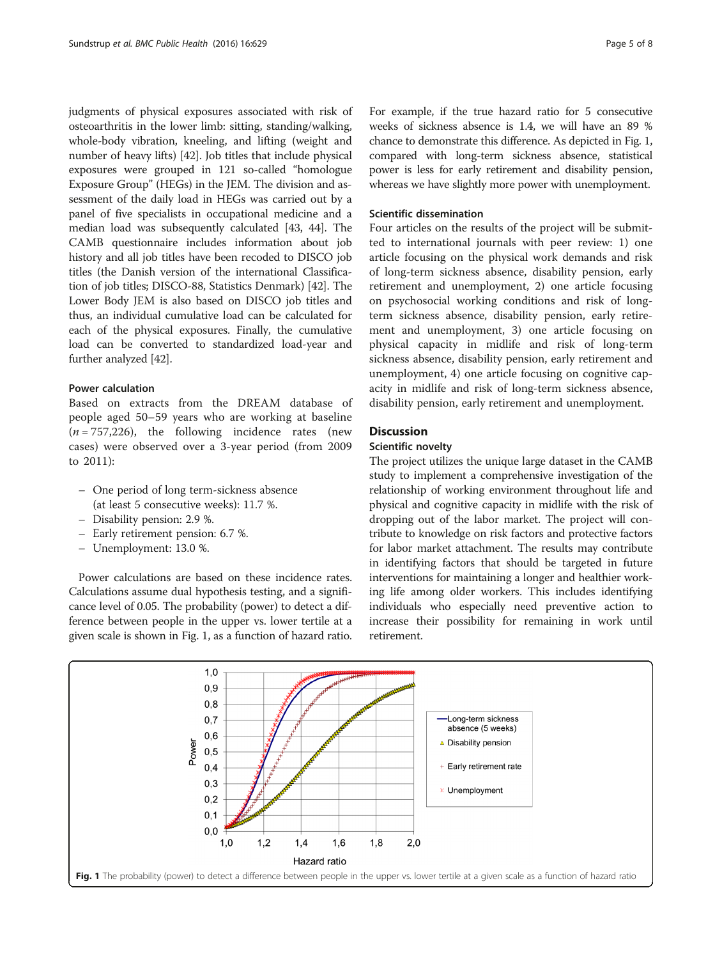judgments of physical exposures associated with risk of osteoarthritis in the lower limb: sitting, standing/walking, whole-body vibration, kneeling, and lifting (weight and number of heavy lifts) [[42](#page-6-0)]. Job titles that include physical exposures were grouped in 121 so-called "homologue Exposure Group" (HEGs) in the JEM. The division and assessment of the daily load in HEGs was carried out by a panel of five specialists in occupational medicine and a median load was subsequently calculated [\[43,](#page-6-0) [44](#page-7-0)]. The CAMB questionnaire includes information about job history and all job titles have been recoded to DISCO job titles (the Danish version of the international Classification of job titles; DISCO-88, Statistics Denmark) [\[42\]](#page-6-0). The Lower Body JEM is also based on DISCO job titles and thus, an individual cumulative load can be calculated for each of the physical exposures. Finally, the cumulative load can be converted to standardized load-year and further analyzed [\[42\]](#page-6-0).

## Power calculation

Based on extracts from the DREAM database of people aged 50–59 years who are working at baseline  $(n = 757,226)$ , the following incidence rates (new cases) were observed over a 3-year period (from 2009 to 2011):

- One period of long term-sickness absence (at least 5 consecutive weeks): 11.7 %.
- Disability pension: 2.9 %.
- Early retirement pension: 6.7 %.
- Unemployment: 13.0 %.

Power calculations are based on these incidence rates. Calculations assume dual hypothesis testing, and a significance level of 0.05. The probability (power) to detect a difference between people in the upper vs. lower tertile at a given scale is shown in Fig. 1, as a function of hazard ratio.

For example, if the true hazard ratio for 5 consecutive weeks of sickness absence is 1.4, we will have an 89 % chance to demonstrate this difference. As depicted in Fig. 1, compared with long-term sickness absence, statistical power is less for early retirement and disability pension, whereas we have slightly more power with unemployment.

### Scientific dissemination

Four articles on the results of the project will be submitted to international journals with peer review: 1) one article focusing on the physical work demands and risk of long-term sickness absence, disability pension, early retirement and unemployment, 2) one article focusing on psychosocial working conditions and risk of longterm sickness absence, disability pension, early retirement and unemployment, 3) one article focusing on physical capacity in midlife and risk of long-term sickness absence, disability pension, early retirement and unemployment, 4) one article focusing on cognitive capacity in midlife and risk of long-term sickness absence, disability pension, early retirement and unemployment.

## **Discussion**

## Scientific novelty

The project utilizes the unique large dataset in the CAMB study to implement a comprehensive investigation of the relationship of working environment throughout life and physical and cognitive capacity in midlife with the risk of dropping out of the labor market. The project will contribute to knowledge on risk factors and protective factors for labor market attachment. The results may contribute in identifying factors that should be targeted in future interventions for maintaining a longer and healthier working life among older workers. This includes identifying individuals who especially need preventive action to increase their possibility for remaining in work until retirement.

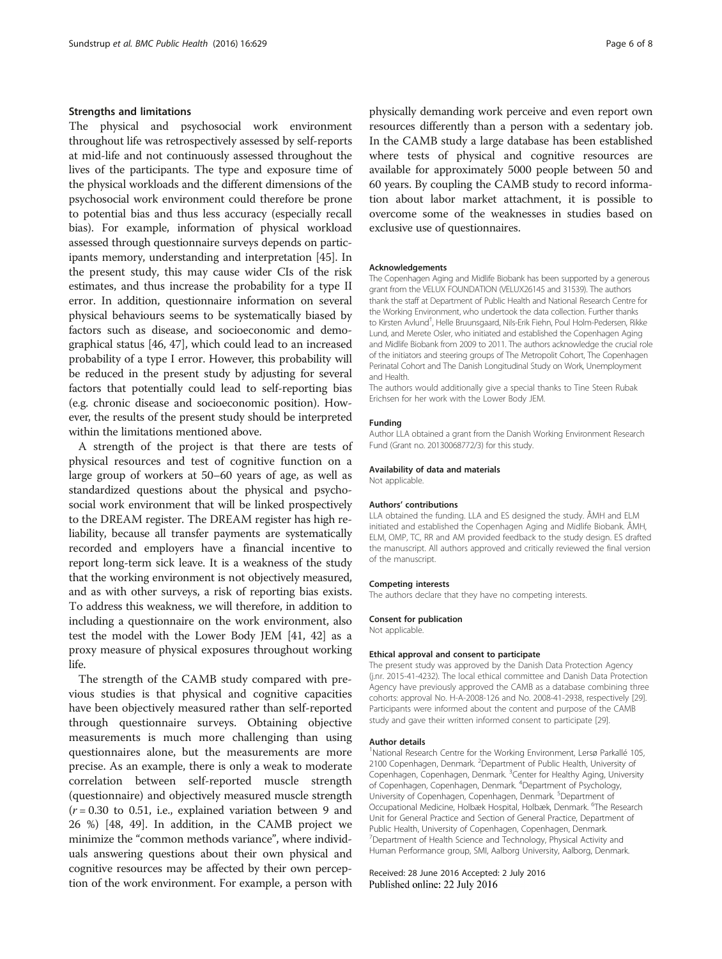## Strengths and limitations

The physical and psychosocial work environment throughout life was retrospectively assessed by self-reports at mid-life and not continuously assessed throughout the lives of the participants. The type and exposure time of the physical workloads and the different dimensions of the psychosocial work environment could therefore be prone to potential bias and thus less accuracy (especially recall bias). For example, information of physical workload assessed through questionnaire surveys depends on participants memory, understanding and interpretation [[45](#page-7-0)]. In the present study, this may cause wider CIs of the risk estimates, and thus increase the probability for a type II error. In addition, questionnaire information on several physical behaviours seems to be systematically biased by factors such as disease, and socioeconomic and demographical status [\[46, 47\]](#page-7-0), which could lead to an increased probability of a type I error. However, this probability will be reduced in the present study by adjusting for several factors that potentially could lead to self-reporting bias (e.g. chronic disease and socioeconomic position). However, the results of the present study should be interpreted within the limitations mentioned above.

A strength of the project is that there are tests of physical resources and test of cognitive function on a large group of workers at 50–60 years of age, as well as standardized questions about the physical and psychosocial work environment that will be linked prospectively to the DREAM register. The DREAM register has high reliability, because all transfer payments are systematically recorded and employers have a financial incentive to report long-term sick leave. It is a weakness of the study that the working environment is not objectively measured, and as with other surveys, a risk of reporting bias exists. To address this weakness, we will therefore, in addition to including a questionnaire on the work environment, also test the model with the Lower Body JEM [\[41, 42](#page-6-0)] as a proxy measure of physical exposures throughout working life.

The strength of the CAMB study compared with previous studies is that physical and cognitive capacities have been objectively measured rather than self-reported through questionnaire surveys. Obtaining objective measurements is much more challenging than using questionnaires alone, but the measurements are more precise. As an example, there is only a weak to moderate correlation between self-reported muscle strength (questionnaire) and objectively measured muscle strength  $(r = 0.30 \text{ to } 0.51, \text{ i.e., explained variation between } 9 \text{ and }$ 26 %) [\[48, 49\]](#page-7-0). In addition, in the CAMB project we minimize the "common methods variance", where individuals answering questions about their own physical and cognitive resources may be affected by their own perception of the work environment. For example, a person with

physically demanding work perceive and even report own resources differently than a person with a sedentary job. In the CAMB study a large database has been established where tests of physical and cognitive resources are available for approximately 5000 people between 50 and 60 years. By coupling the CAMB study to record information about labor market attachment, it is possible to overcome some of the weaknesses in studies based on exclusive use of questionnaires.

#### Acknowledgements

The Copenhagen Aging and Midlife Biobank has been supported by a generous grant from the VELUX FOUNDATION (VELUX26145 and 31539). The authors thank the staff at Department of Public Health and National Research Centre for the Working Environment, who undertook the data collection. Further thanks to Kirsten Avlund† , Helle Bruunsgaard, Nils-Erik Fiehn, Poul Holm-Pedersen, Rikke Lund, and Merete Osler, who initiated and established the Copenhagen Aging and Midlife Biobank from 2009 to 2011. The authors acknowledge the crucial role of the initiators and steering groups of The Metropolit Cohort, The Copenhagen Perinatal Cohort and The Danish Longitudinal Study on Work, Unemployment and Health.

The authors would additionally give a special thanks to Tine Steen Rubak Erichsen for her work with the Lower Body JEM.

#### Funding

Author LLA obtained a grant from the Danish Working Environment Research Fund (Grant no. 20130068772/3) for this study.

#### Availability of data and materials

Not applicable.

#### Authors' contributions

LLA obtained the funding. LLA and ES designed the study. ÅMH and ELM initiated and established the Copenhagen Aging and Midlife Biobank. ÅMH, ELM, OMP, TC, RR and AM provided feedback to the study design. ES drafted the manuscript. All authors approved and critically reviewed the final version of the manuscript.

#### Competing interests

The authors declare that they have no competing interests.

#### Consent for publication

Not applicable.

#### Ethical approval and consent to participate

The present study was approved by the Danish Data Protection Agency (j.nr. 2015-41-4232). The local ethical committee and Danish Data Protection Agency have previously approved the CAMB as a database combining three cohorts: approval No. H-A-2008-126 and No. 2008-41-2938, respectively [\[29](#page-6-0)]. Participants were informed about the content and purpose of the CAMB study and gave their written informed consent to participate [[29](#page-6-0)].

#### Author details

<sup>1</sup>National Research Centre for the Working Environment, Lersø Parkallé 105 2100 Copenhagen, Denmark. <sup>2</sup>Department of Public Health, University of Copenhagen, Copenhagen, Denmark.<sup>3</sup> Center for Healthy Aging, University of Copenhagen, Copenhagen, Denmark. <sup>4</sup> Department of Psychology, University of Copenhagen, Copenhagen, Denmark. <sup>5</sup>Department of Occupational Medicine, Holbæk Hospital, Holbæk, Denmark. <sup>6</sup>The Research Unit for General Practice and Section of General Practice, Department of Public Health, University of Copenhagen, Copenhagen, Denmark. 7 Department of Health Science and Technology, Physical Activity and Human Performance group, SMI, Aalborg University, Aalborg, Denmark.

Received: 28 June 2016 Accepted: 2 July 2016 Published online: 22 July 2016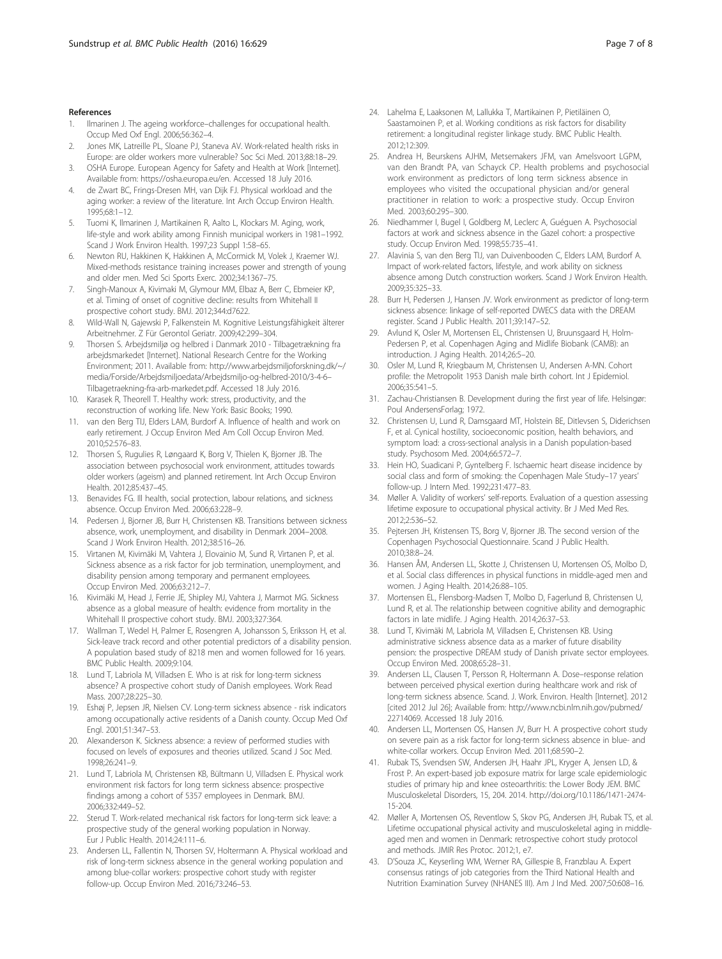### <span id="page-6-0"></span>References

- 1. Ilmarinen J. The ageing workforce–challenges for occupational health. Occup Med Oxf Engl. 2006;56:362–4.
- 2. Jones MK, Latreille PL, Sloane PJ, Staneva AV. Work-related health risks in Europe: are older workers more vulnerable? Soc Sci Med. 2013;88:18–29.
- 3. OSHA Europe. European Agency for Safety and Health at Work [Internet]. Available from:<https://osha.europa.eu/en>. Accessed 18 July 2016.
- 4. de Zwart BC, Frings-Dresen MH, van Dijk FJ. Physical workload and the aging worker: a review of the literature. Int Arch Occup Environ Health. 1995;68:1–12.
- 5. Tuomi K, Ilmarinen J, Martikainen R, Aalto L, Klockars M. Aging, work, life-style and work ability among Finnish municipal workers in 1981–1992. Scand J Work Environ Health. 1997;23 Suppl 1:58–65.
- 6. Newton RU, Hakkinen K, Hakkinen A, McCormick M, Volek J, Kraemer WJ. Mixed-methods resistance training increases power and strength of young and older men. Med Sci Sports Exerc. 2002;34:1367–75.
- 7. Singh-Manoux A, Kivimaki M, Glymour MM, Elbaz A, Berr C, Ebmeier KP, et al. Timing of onset of cognitive decline: results from Whitehall II prospective cohort study. BMJ. 2012;344:d7622.
- 8. Wild-Wall N, Gajewski P, Falkenstein M. Kognitive Leistungsfähigkeit älterer Arbeitnehmer. Z Für Gerontol Geriatr. 2009;42:299–304.
- 9. Thorsen S. Arbejdsmiljø og helbred i Danmark 2010 Tilbagetrækning fra arbejdsmarkedet [Internet]. National Research Centre for the Working Environment; 2011. Available from: [http://www.arbejdsmiljoforskning.dk/~/](http://www.arbejdsmiljoforskning.dk/~/media/Forside/Arbejdsmiljoedata/Arbejdsmiljo-og-helbred-2010/3-4-6--Tilbagetraekning-fra-arb-markedet.pdf) [media/Forside/Arbejdsmiljoedata/Arbejdsmiljo-og-helbred-2010/3-4-6](http://www.arbejdsmiljoforskning.dk/~/media/Forside/Arbejdsmiljoedata/Arbejdsmiljo-og-helbred-2010/3-4-6--Tilbagetraekning-fra-arb-markedet.pdf)– [Tilbagetraekning-fra-arb-markedet.pdf.](http://www.arbejdsmiljoforskning.dk/~/media/Forside/Arbejdsmiljoedata/Arbejdsmiljo-og-helbred-2010/3-4-6--Tilbagetraekning-fra-arb-markedet.pdf) Accessed 18 July 2016.
- 10. Karasek R, Theorell T. Healthy work: stress, productivity, and the reconstruction of working life. New York: Basic Books; 1990.
- 11. van den Berg TIJ, Elders LAM, Burdorf A. Influence of health and work on early retirement. J Occup Environ Med Am Coll Occup Environ Med. 2010;52:576–83.
- 12. Thorsen S, Rugulies R, Løngaard K, Borg V, Thielen K, Bjorner JB. The association between psychosocial work environment, attitudes towards older workers (ageism) and planned retirement. Int Arch Occup Environ Health. 2012;85:437–45.
- 13. Benavides FG. Ill health, social protection, labour relations, and sickness absence. Occup Environ Med. 2006;63:228–9.
- 14. Pedersen J, Bjorner JB, Burr H, Christensen KB. Transitions between sickness absence, work, unemployment, and disability in Denmark 2004–2008. Scand J Work Environ Health. 2012;38:516–26.
- 15. Virtanen M, Kivimäki M, Vahtera J, Elovainio M, Sund R, Virtanen P, et al. Sickness absence as a risk factor for job termination, unemployment, and disability pension among temporary and permanent employees. Occup Environ Med. 2006;63:212–7.
- 16. Kivimäki M, Head J, Ferrie JE, Shipley MJ, Vahtera J, Marmot MG. Sickness absence as a global measure of health: evidence from mortality in the Whitehall II prospective cohort study. BMJ. 2003;327:364.
- 17. Wallman T, Wedel H, Palmer E, Rosengren A, Johansson S, Eriksson H, et al. Sick-leave track record and other potential predictors of a disability pension. A population based study of 8218 men and women followed for 16 years. BMC Public Health. 2009;9:104.
- 18. Lund T, Labriola M, Villadsen E. Who is at risk for long-term sickness absence? A prospective cohort study of Danish employees. Work Read Mass. 2007;28:225–30.
- 19. Eshøj P, Jepsen JR, Nielsen CV. Long-term sickness absence risk indicators among occupationally active residents of a Danish county. Occup Med Oxf Engl. 2001;51:347–53.
- 20. Alexanderson K. Sickness absence: a review of performed studies with focused on levels of exposures and theories utilized. Scand J Soc Med. 1998;26:241–9.
- 21. Lund T, Labriola M, Christensen KB, Bültmann U, Villadsen E. Physical work environment risk factors for long term sickness absence: prospective findings among a cohort of 5357 employees in Denmark. BMJ. 2006;332:449–52.
- 22. Sterud T. Work-related mechanical risk factors for long-term sick leave: a prospective study of the general working population in Norway. Eur J Public Health. 2014;24:111–6.
- 23. Andersen LL, Fallentin N, Thorsen SV, Holtermann A. Physical workload and risk of long-term sickness absence in the general working population and among blue-collar workers: prospective cohort study with register follow-up. Occup Environ Med. 2016;73:246–53.
- 24. Lahelma E, Laaksonen M, Lallukka T, Martikainen P, Pietiläinen O, Saastamoinen P, et al. Working conditions as risk factors for disability retirement: a longitudinal register linkage study. BMC Public Health. 2012;12:309.
- 25. Andrea H, Beurskens AJHM, Metsemakers JFM, van Amelsvoort LGPM, van den Brandt PA, van Schayck CP. Health problems and psychosocial work environment as predictors of long term sickness absence in employees who visited the occupational physician and/or general practitioner in relation to work: a prospective study. Occup Environ Med. 2003;60:295–300.
- 26. Niedhammer I, Bugel I, Goldberg M, Leclerc A, Guéguen A. Psychosocial factors at work and sickness absence in the Gazel cohort: a prospective study. Occup Environ Med. 1998;55:735–41.
- 27. Alavinia S, van den Berg TIJ, van Duivenbooden C, Elders LAM, Burdorf A. Impact of work-related factors, lifestyle, and work ability on sickness absence among Dutch construction workers. Scand J Work Environ Health. 2009;35:325–33.
- 28. Burr H, Pedersen J, Hansen JV. Work environment as predictor of long-term sickness absence: linkage of self-reported DWECS data with the DREAM register. Scand J Public Health. 2011;39:147–52.
- 29. Avlund K, Osler M, Mortensen EL, Christensen U, Bruunsgaard H, Holm-Pedersen P, et al. Copenhagen Aging and Midlife Biobank (CAMB): an introduction. J Aging Health. 2014;26:5–20.
- 30. Osler M, Lund R, Kriegbaum M, Christensen U, Andersen A-MN. Cohort profile: the Metropolit 1953 Danish male birth cohort. Int J Epidemiol. 2006;35:541–5.
- 31. Zachau-Christiansen B. Development during the first year of life. Helsingør: Poul AndersensForlag; 1972.
- 32. Christensen U, Lund R, Damsgaard MT, Holstein BE, Ditlevsen S, Diderichsen F, et al. Cynical hostility, socioeconomic position, health behaviors, and symptom load: a cross-sectional analysis in a Danish population-based study. Psychosom Med. 2004;66:572–7.
- 33. Hein HO, Suadicani P, Gyntelberg F. Ischaemic heart disease incidence by social class and form of smoking: the Copenhagen Male Study–17 years' follow-up. J Intern Med. 1992;231:477–83.
- 34. Møller A. Validity of workers' self-reports. Evaluation of a question assessing lifetime exposure to occupational physical activity. Br J Med Med Res. 2012;2:536–52.
- 35. Pejtersen JH, Kristensen TS, Borg V, Bjorner JB. The second version of the Copenhagen Psychosocial Questionnaire. Scand J Public Health. 2010;38:8–24.
- 36. Hansen ÅM, Andersen LL, Skotte J, Christensen U, Mortensen OS, Molbo D, et al. Social class differences in physical functions in middle-aged men and women. J Aging Health. 2014;26:88–105.
- 37. Mortensen EL, Flensborg-Madsen T, Molbo D, Fagerlund B, Christensen U, Lund R, et al. The relationship between cognitive ability and demographic factors in late midlife. J Aging Health. 2014;26:37–53.
- 38. Lund T, Kivimäki M, Labriola M, Villadsen E, Christensen KB. Using administrative sickness absence data as a marker of future disability pension: the prospective DREAM study of Danish private sector employees. Occup Environ Med. 2008;65:28–31.
- 39. Andersen LL, Clausen T, Persson R, Holtermann A. Dose–response relation between perceived physical exertion during healthcare work and risk of long-term sickness absence. Scand. J. Work. Environ. Health [Internet]. 2012 [cited 2012 Jul 26]; Available from: [http://www.ncbi.nlm.nih.gov/pubmed/](http://www.ncbi.nlm.nih.gov/pubmed/22714069) [22714069](http://www.ncbi.nlm.nih.gov/pubmed/22714069). Accessed 18 July 2016.
- 40. Andersen LL, Mortensen OS, Hansen JV, Burr H. A prospective cohort study on severe pain as a risk factor for long-term sickness absence in blue- and white-collar workers. Occup Environ Med. 2011;68:590–2.
- 41. Rubak TS, Svendsen SW, Andersen JH, Haahr JPL, Kryger A, Jensen LD, & Frost P. An expert-based job exposure matrix for large scale epidemiologic studies of primary hip and knee osteoarthritis: the Lower Body JEM. BMC Musculoskeletal Disorders, 15, 204. 2014. [http://doi.org/10.1186/1471-2474-](http://doi.org/10.1186/1471-2474-15-204) [15-204.](http://doi.org/10.1186/1471-2474-15-204)
- 42. Møller A, Mortensen OS, Reventlow S, Skov PG, Andersen JH, Rubak TS, et al. Lifetime occupational physical activity and musculoskeletal aging in middleaged men and women in Denmark: retrospective cohort study protocol and methods. JMIR Res Protoc. 2012;1, e7.
- 43. D'Souza JC, Keyserling WM, Werner RA, Gillespie B, Franzblau A. Expert consensus ratings of job categories from the Third National Health and Nutrition Examination Survey (NHANES III). Am J Ind Med. 2007;50:608–16.